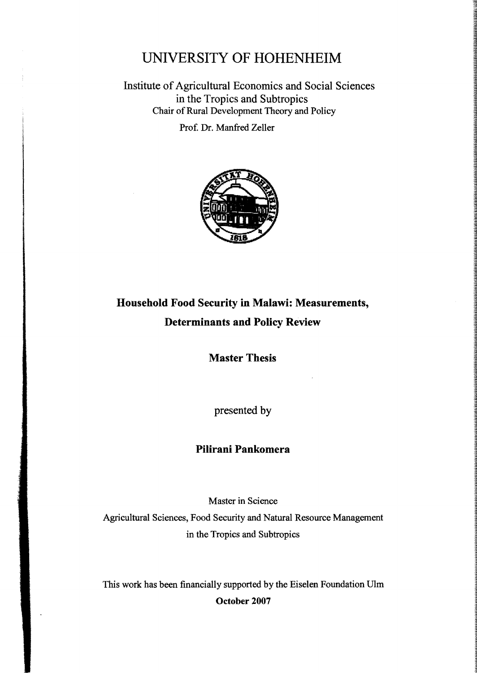## UNIVERSITY OF HOHENHEIM

Institute of Agricultural Economics and Social Sciences in the Tropics and Subtropics Chair of Rural Development Theory and Policy

Prof. Dr. Manfred Zeller



## Household Food Seeurity in Malawi: Measurements, Determinants and Poliey Review

Master Thesis

presented by

## Pilirani Pankomera

Master in Seienee

Agrieultural Seienees, Food Seeurity and Natural Resouree Management in the Tropics and Subtropics

This work has been financially supported by the Eiselen Foundation Ulm October 2007

 $\ddot{\phantom{0}}$